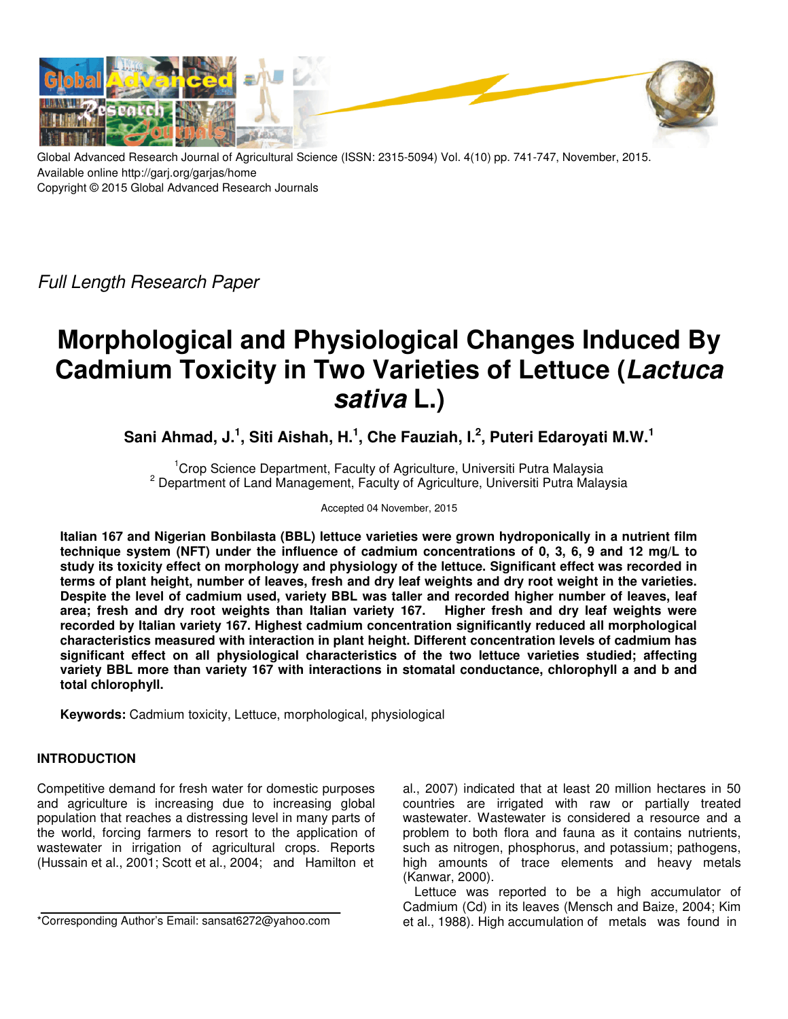

Global Advanced Research Journal of Agricultural Science (ISSN: 2315-5094) Vol. 4(10) pp. 741-747, November, 2015. Available online http://garj.org/garjas/home Copyright © 2015 Global Advanced Research Journals

*Full Length Research Paper*

# **Morphological and Physiological Changes Induced By Cadmium Toxicity in Two Varieties of Lettuce (Lactuca sativa L.)**

**Sani Ahmad, J.<sup>1</sup> , Siti Aishah, H.<sup>1</sup> , Che Fauziah, I.<sup>2</sup> , Puteri Edaroyati M.W.<sup>1</sup>**

<sup>1</sup>Crop Science Department, Faculty of Agriculture, Universiti Putra Malaysia <sup>2</sup> Department of Land Management, Faculty of Agriculture, Universiti Putra Malaysia

Accepted 04 November, 2015

**Italian 167 and Nigerian Bonbilasta (BBL) lettuce varieties were grown hydroponically in a nutrient film technique system (NFT) under the influence of cadmium concentrations of 0, 3, 6, 9 and 12 mg/L to study its toxicity effect on morphology and physiology of the lettuce. Significant effect was recorded in terms of plant height, number of leaves, fresh and dry leaf weights and dry root weight in the varieties. Despite the level of cadmium used, variety BBL was taller and recorded higher number of leaves, leaf area; fresh and dry root weights than Italian variety 167. Higher fresh and dry leaf weights were recorded by Italian variety 167. Highest cadmium concentration significantly reduced all morphological characteristics measured with interaction in plant height. Different concentration levels of cadmium has significant effect on all physiological characteristics of the two lettuce varieties studied; affecting variety BBL more than variety 167 with interactions in stomatal conductance, chlorophyll a and b and total chlorophyll.** 

**Keywords:** Cadmium toxicity, Lettuce, morphological, physiological

## **INTRODUCTION**

Competitive demand for fresh water for domestic purposes and agriculture is increasing due to increasing global population that reaches a distressing level in many parts of the world, forcing farmers to resort to the application of wastewater in irrigation of agricultural crops. Reports (Hussain et al., 2001; Scott et al., 2004; and Hamilton et

\*Corresponding Author's Email: sansat6272@yahoo.com

al., 2007) indicated that at least 20 million hectares in 50 countries are irrigated with raw or partially treated wastewater. Wastewater is considered a resource and a problem to both flora and fauna as it contains nutrients, such as nitrogen, phosphorus, and potassium; pathogens, high amounts of trace elements and heavy metals (Kanwar, 2000).

Lettuce was reported to be a high accumulator of Cadmium (Cd) in its leaves (Mensch and Baize, 2004; Kim et al., 1988). High accumulation of metals was found in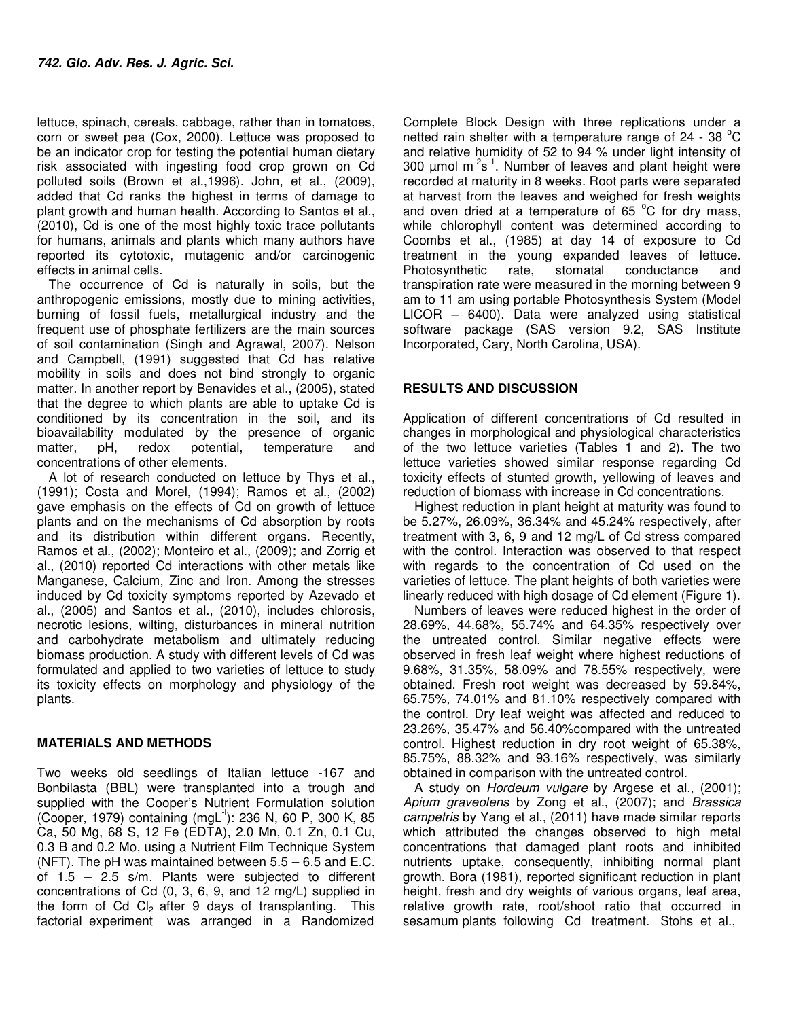lettuce, spinach, cereals, cabbage, rather than in tomatoes, corn or sweet pea (Cox, 2000). Lettuce was proposed to be an indicator crop for testing the potential human dietary risk associated with ingesting food crop grown on Cd polluted soils (Brown et al.,1996). John, et al., (2009), added that Cd ranks the highest in terms of damage to plant growth and human health. According to Santos et al., (2010), Cd is one of the most highly toxic trace pollutants for humans, animals and plants which many authors have reported its cytotoxic, mutagenic and/or carcinogenic effects in animal cells.

The occurrence of Cd is naturally in soils, but the anthropogenic emissions, mostly due to mining activities, burning of fossil fuels, metallurgical industry and the frequent use of phosphate fertilizers are the main sources of soil contamination (Singh and Agrawal, 2007). Nelson and Campbell, (1991) suggested that Cd has relative mobility in soils and does not bind strongly to organic matter. In another report by Benavides et al., (2005), stated that the degree to which plants are able to uptake Cd is conditioned by its concentration in the soil, and its bioavailability modulated by the presence of organic matter, pH, redox potential, temperature and concentrations of other elements.

A lot of research conducted on lettuce by Thys et al., (1991); Costa and Morel, (1994); Ramos et al., (2002) gave emphasis on the effects of Cd on growth of lettuce plants and on the mechanisms of Cd absorption by roots and its distribution within different organs. Recently, Ramos et al., (2002); Monteiro et al., (2009); and Zorrig et al., (2010) reported Cd interactions with other metals like Manganese, Calcium, Zinc and Iron. Among the stresses induced by Cd toxicity symptoms reported by Azevado et al., (2005) and Santos et al., (2010), includes chlorosis, necrotic lesions, wilting, disturbances in mineral nutrition and carbohydrate metabolism and ultimately reducing biomass production. A study with different levels of Cd was formulated and applied to two varieties of lettuce to study its toxicity effects on morphology and physiology of the plants.

### **MATERIALS AND METHODS**

Two weeks old seedlings of Italian lettuce -167 and Bonbilasta (BBL) were transplanted into a trough and supplied with the Cooper's Nutrient Formulation solution (Cooper, 1979) containing  $(mgl^{-1})$ : 236 N, 60 P, 300 K, 85 Ca, 50 Mg, 68 S, 12 Fe (EDTA), 2.0 Mn, 0.1 Zn, 0.1 Cu, 0.3 B and 0.2 Mo, using a Nutrient Film Technique System (NFT). The pH was maintained between 5.5 – 6.5 and E.C. of  $1.5 - 2.5$  s/m. Plants were subjected to different concentrations of Cd (0, 3, 6, 9, and 12 mg/L) supplied in the form of Cd Cl<sub>2</sub> after 9 days of transplanting. This factorial experiment was arranged in a Randomized

Complete Block Design with three replications under a netted rain shelter with a temperature range of  $24 - 38$  °C and relative humidity of 52 to 94 % under light intensity of 300  $\mu$ mol m<sup>-2</sup>s<sup>-1</sup>. Number of leaves and plant height were recorded at maturity in 8 weeks. Root parts were separated at harvest from the leaves and weighed for fresh weights and oven dried at a temperature of 65  $^{\circ}$ C for dry mass. while chlorophyll content was determined according to Coombs et al., (1985) at day 14 of exposure to Cd treatment in the young expanded leaves of lettuce. Photosynthetic rate, stomatal conductance and transpiration rate were measured in the morning between 9 am to 11 am using portable Photosynthesis System (Model LICOR – 6400). Data were analyzed using statistical software package (SAS version 9.2, SAS Institute Incorporated, Cary, North Carolina, USA).

#### **RESULTS AND DISCUSSION**

Application of different concentrations of Cd resulted in changes in morphological and physiological characteristics of the two lettuce varieties (Tables 1 and 2). The two lettuce varieties showed similar response regarding Cd toxicity effects of stunted growth, yellowing of leaves and reduction of biomass with increase in Cd concentrations.

Highest reduction in plant height at maturity was found to be 5.27%, 26.09%, 36.34% and 45.24% respectively, after treatment with 3, 6, 9 and 12 mg/L of Cd stress compared with the control. Interaction was observed to that respect with regards to the concentration of Cd used on the varieties of lettuce. The plant heights of both varieties were linearly reduced with high dosage of Cd element (Figure 1).

Numbers of leaves were reduced highest in the order of 28.69%, 44.68%, 55.74% and 64.35% respectively over the untreated control. Similar negative effects were observed in fresh leaf weight where highest reductions of 9.68%, 31.35%, 58.09% and 78.55% respectively, were obtained. Fresh root weight was decreased by 59.84%, 65.75%, 74.01% and 81.10% respectively compared with the control. Dry leaf weight was affected and reduced to 23.26%, 35.47% and 56.40%compared with the untreated control. Highest reduction in dry root weight of 65.38%, 85.75%, 88.32% and 93.16% respectively, was similarly obtained in comparison with the untreated control.

A study on *Hordeum vulgare* by Argese et al., (2001); *Apium graveolens* by Zong et al., (2007); and *Brassica campetris* by Yang et al., (2011) have made similar reports which attributed the changes observed to high metal concentrations that damaged plant roots and inhibited nutrients uptake, consequently, inhibiting normal plant growth. Bora (1981), reported significant reduction in plant height, fresh and dry weights of various organs, leaf area, relative growth rate, root/shoot ratio that occurred in sesamum plants following Cd treatment. Stohs et al.,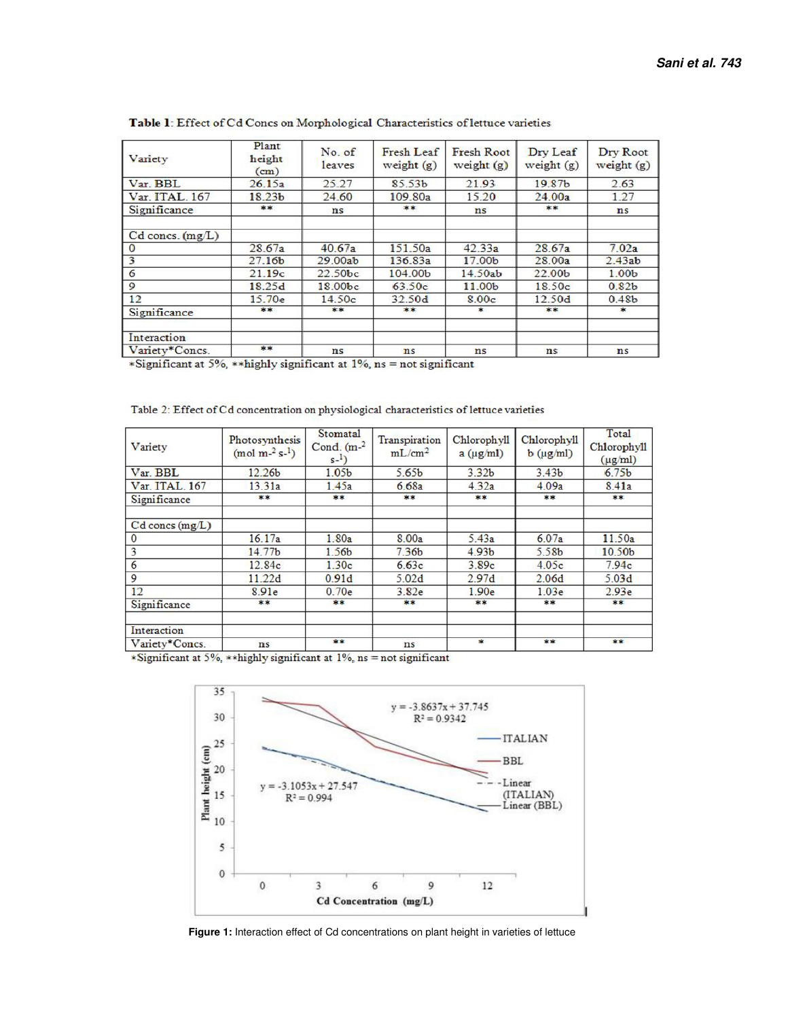| Variety              | Plant<br>height<br>(cm) | No. of<br>leaves    | <b>Fresh Leaf</b><br>weight (g) | <b>Fresh Root</b><br>weight $(g)$ | Dry Leaf<br>weight $(g)$ | Dry Root<br>weight $(g)$ |
|----------------------|-------------------------|---------------------|---------------------------------|-----------------------------------|--------------------------|--------------------------|
| Var. BBL             | 26.15a                  | 25.27               | 85.53b                          | 21.93                             | 19.87 <sub>b</sub>       | 2.63                     |
| Var. ITAL. 167       | 18.23 <sub>b</sub>      | 24.60               | 109.80a                         | 15.20                             | 24.00a                   | 1.27                     |
| Significance         | **                      | ns                  | **                              | ns                                | **                       | ns                       |
| $Cd$ concs. $(mg/L)$ |                         |                     |                                 |                                   |                          |                          |
| $\Omega$             | 28.67a                  | 40.67a              | 151.50a                         | 42.33a                            | 28.67a                   | 7.02a                    |
| 3                    | 27.16b                  | 29.00ab             | 136.83a                         | 17.00b                            | 28.00a                   | 2.43ab                   |
| 6                    | 21.19c                  | 22.50 <sub>bc</sub> | 104.00b                         | 14.50ab                           | 22.00b                   | 1.00 <sub>b</sub>        |
| 9                    | 18.25d                  | 18.00bc             | 63.50c                          | 11.00b                            | 18.50c                   | 0.82 <sub>b</sub>        |
| 12                   | 15.70e                  | 14.50c              | 32.50d                          | 8.00c                             | 12.50d                   | 0.48 <sub>b</sub>        |
| Significance         | **                      | **                  | 京京                              |                                   | 家家                       |                          |
| Interaction          |                         |                     |                                 |                                   |                          |                          |
| Variety*Concs.       | **                      | ns                  | ns                              | ns                                | ns                       | ns                       |

Table 1: Effect of Cd Concs on Morphological Characteristics of lettuce varieties

\*Significant at 5%, \*\* highly significant at 1%, ns = not significant

|  | Table 2: Effect of Cd concentration on physiological characteristics of lettuce varieties |
|--|-------------------------------------------------------------------------------------------|
|  |                                                                                           |

| Variety             | Photosynthesis<br>$(mod m-2 s-1)$ | Stomatal<br>Cond. $(m^{-2})$<br>$s-1$ ) | Transpiration<br>$mL/cm^2$ | Chlorophyll<br>$a$ ( $\mu$ g/ml) | Chlorophyll<br>$b$ ( $\mu$ g/ml) | Total<br>Chlorophyll<br>$(\mu g/ml)$ |
|---------------------|-----------------------------------|-----------------------------------------|----------------------------|----------------------------------|----------------------------------|--------------------------------------|
| Var. BBL            | 12.26b                            | 1.05 <sub>b</sub>                       | 5.65 <sub>b</sub>          | 3.32 <sub>b</sub>                | 3.43 <sub>b</sub>                | 6.75 <sub>b</sub>                    |
| Var. ITAL. 167      | 13.31a                            | 1.45a                                   | 6.68a                      | 4.32a                            | 4.09a                            | 8.41a                                |
| Significance        | **                                | 京享                                      | **                         | **                               | **                               | **                                   |
| $Cd$ concs $(mg/L)$ |                                   |                                         |                            |                                  |                                  |                                      |
|                     | 16.17a                            | 1.80a                                   | 8.00a                      | 5.43a                            | 6.07a                            | 11.50a                               |
| 3                   | 14.77 <sub>b</sub>                | 1.56b                                   | 7.36 <sub>b</sub>          | 4.93 <sub>b</sub>                | 5.58b                            | 10.50 <sub>b</sub>                   |
| 6                   | 12.84c                            | 1.30c                                   | 6.63c                      | 3.89c                            | 4.05c                            | 7.94c                                |
| 9                   | 11.22d                            | 0.91d                                   | 5.02 <sub>d</sub>          | 2.97d                            | 2.06d                            | 5.03d                                |
| 12                  | 8.91e                             | 0.70e                                   | 3.82e                      | 1.90 <sub>e</sub>                | 1.03 <sub>e</sub>                | 2.93 <sub>e</sub>                    |
| Significance        | 草家                                | **                                      | **                         | **                               | **                               | **                                   |
| Interaction         |                                   |                                         |                            |                                  |                                  |                                      |
| Variety*Concs.      | ns                                | 家宴                                      | ns                         | 宴                                | **                               | **                                   |

\*Significant at 5%, \*\* highly significant at 1%, ns = not significant



Figure 1: Interaction effect of Cd concentrations on plant height in varieties of lettuce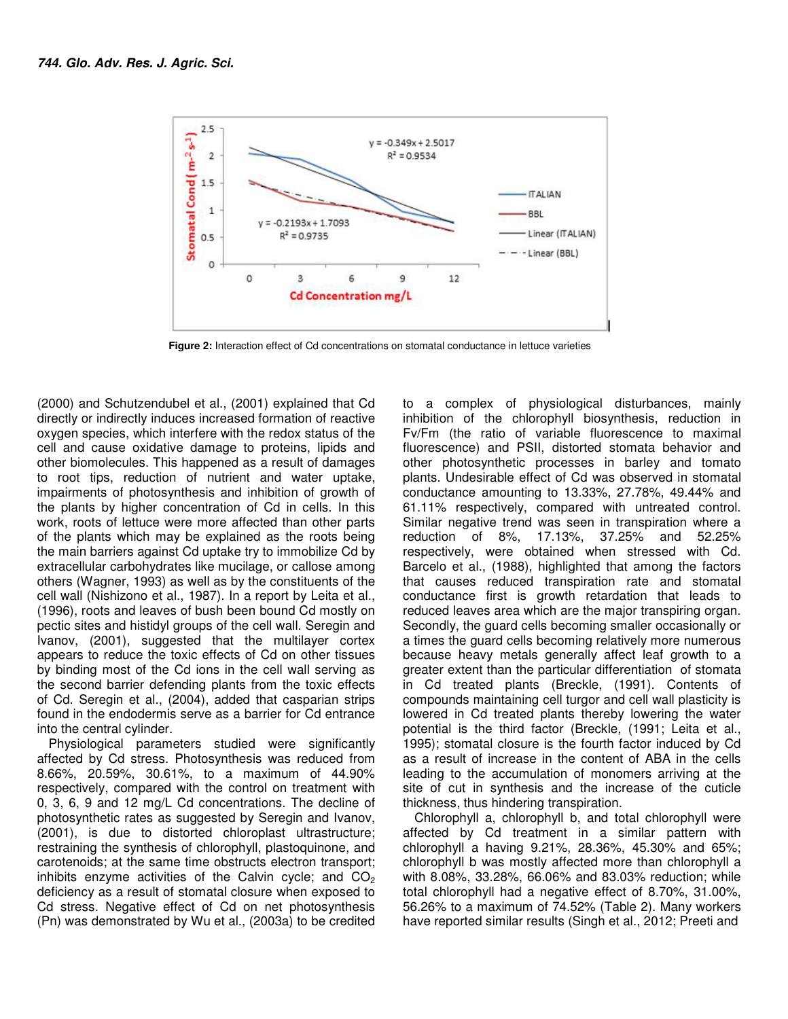

 **Figure 2:** Interaction effect of Cd concentrations on stomatal conductance in lettuce varieties

(2000) and Schutzendubel et al., (2001) explained that Cd directly or indirectly induces increased formation of reactive oxygen species, which interfere with the redox status of the cell and cause oxidative damage to proteins, lipids and other biomolecules. This happened as a result of damages to root tips, reduction of nutrient and water uptake, impairments of photosynthesis and inhibition of growth of the plants by higher concentration of Cd in cells. In this work, roots of lettuce were more affected than other parts of the plants which may be explained as the roots being the main barriers against Cd uptake try to immobilize Cd by extracellular carbohydrates like mucilage, or callose among others (Wagner, 1993) as well as by the constituents of the cell wall (Nishizono et al., 1987). In a report by Leita et al., (1996), roots and leaves of bush been bound Cd mostly on pectic sites and histidyl groups of the cell wall. Seregin and Ivanov, (2001), suggested that the multilayer cortex appears to reduce the toxic effects of Cd on other tissues by binding most of the Cd ions in the cell wall serving as the second barrier defending plants from the toxic effects of Cd. Seregin et al., (2004), added that casparian strips found in the endodermis serve as a barrier for Cd entrance into the central cylinder.

Physiological parameters studied were significantly affected by Cd stress. Photosynthesis was reduced from 8.66%, 20.59%, 30.61%, to a maximum of 44.90% respectively, compared with the control on treatment with 0, 3, 6, 9 and 12 mg/L Cd concentrations. The decline of photosynthetic rates as suggested by Seregin and Ivanov, (2001), is due to distorted chloroplast ultrastructure; restraining the synthesis of chlorophyll, plastoquinone, and carotenoids; at the same time obstructs electron transport; inhibits enzyme activities of the Calvin cycle; and  $CO<sub>2</sub>$ deficiency as a result of stomatal closure when exposed to Cd stress. Negative effect of Cd on net photosynthesis (Pn) was demonstrated by Wu et al., (2003a) to be credited

to a complex of physiological disturbances, mainly inhibition of the chlorophyll biosynthesis, reduction in Fv/Fm (the ratio of variable fluorescence to maximal fluorescence) and PSII, distorted stomata behavior and other photosynthetic processes in barley and tomato plants. Undesirable effect of Cd was observed in stomatal conductance amounting to 13.33%, 27.78%, 49.44% and 61.11% respectively, compared with untreated control. Similar negative trend was seen in transpiration where a reduction of 8%, 17.13%, 37.25% and 52.25% respectively, were obtained when stressed with Cd. Barcelo et al., (1988), highlighted that among the factors that causes reduced transpiration rate and stomatal conductance first is growth retardation that leads to reduced leaves area which are the major transpiring organ. Secondly, the guard cells becoming smaller occasionally or a times the guard cells becoming relatively more numerous because heavy metals generally affect leaf growth to a greater extent than the particular differentiation of stomata in Cd treated plants (Breckle, (1991). Contents of compounds maintaining cell turgor and cell wall plasticity is lowered in Cd treated plants thereby lowering the water potential is the third factor (Breckle, (1991; Leita et al., 1995); stomatal closure is the fourth factor induced by Cd as a result of increase in the content of ABA in the cells leading to the accumulation of monomers arriving at the site of cut in synthesis and the increase of the cuticle thickness, thus hindering transpiration.

Chlorophyll a, chlorophyll b, and total chlorophyll were affected by Cd treatment in a similar pattern with chlorophyll a having 9.21%, 28.36%, 45.30% and 65%; chlorophyll b was mostly affected more than chlorophyll a with 8.08%, 33.28%, 66.06% and 83.03% reduction; while total chlorophyll had a negative effect of 8.70%, 31.00%, 56.26% to a maximum of 74.52% (Table 2). Many workers have reported similar results (Singh et al., 2012; Preeti and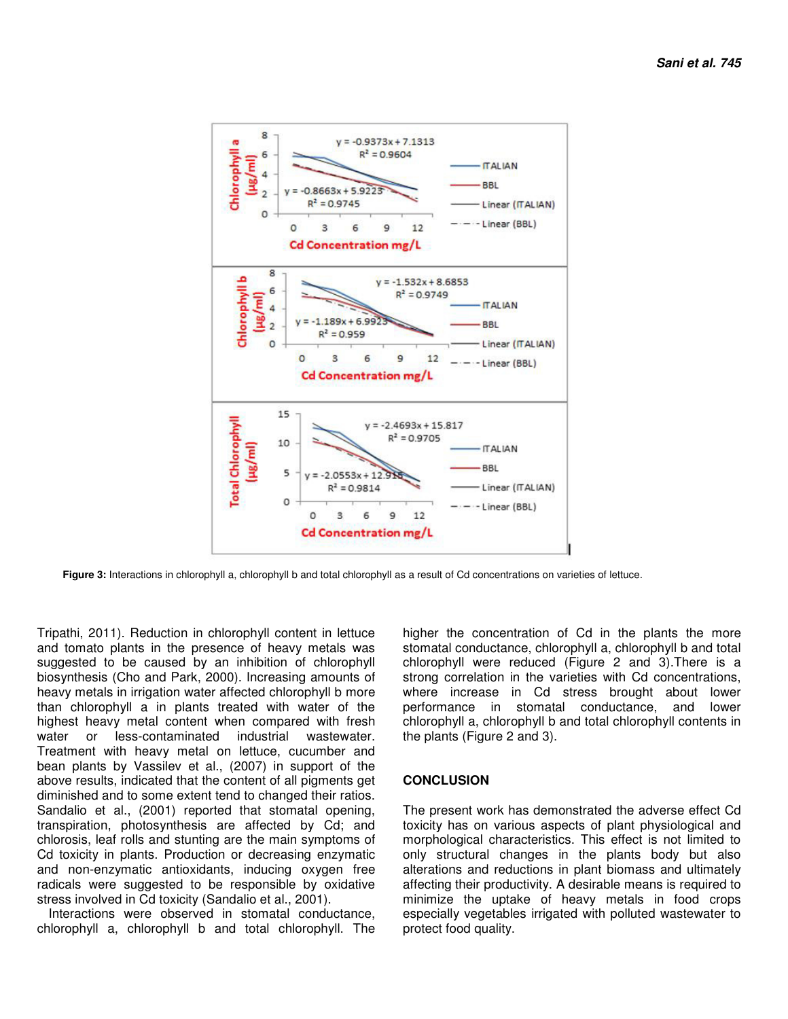

Figure 3: Interactions in chlorophyll a, chlorophyll b and total chlorophyll as a result of Cd concentrations on varieties of lettuce.

Tripathi, 2011). Reduction in chlorophyll content in lettuce and tomato plants in the presence of heavy metals was suggested to be caused by an inhibition of chlorophyll biosynthesis (Cho and Park, 2000). Increasing amounts of heavy metals in irrigation water affected chlorophyll b more than chlorophyll a in plants treated with water of the highest heavy metal content when compared with fresh water or less-contaminated industrial wastewater. Treatment with heavy metal on lettuce, cucumber and bean plants by Vassilev et al., (2007) in support of the above results, indicated that the content of all pigments get diminished and to some extent tend to changed their ratios. Sandalio et al., (2001) reported that stomatal opening, transpiration, photosynthesis are affected by Cd; and chlorosis, leaf rolls and stunting are the main symptoms of Cd toxicity in plants. Production or decreasing enzymatic and non-enzymatic antioxidants, inducing oxygen free radicals were suggested to be responsible by oxidative stress involved in Cd toxicity (Sandalio et al., 2001).

Interactions were observed in stomatal conductance, chlorophyll a, chlorophyll b and total chlorophyll. The higher the concentration of Cd in the plants the more stomatal conductance, chlorophyll a, chlorophyll b and total chlorophyll were reduced (Figure 2 and 3).There is a strong correlation in the varieties with Cd concentrations, where increase in Cd stress brought about lower performance in stomatal conductance, and lower chlorophyll a, chlorophyll b and total chlorophyll contents in the plants (Figure 2 and 3).

#### **CONCLUSION**

The present work has demonstrated the adverse effect Cd toxicity has on various aspects of plant physiological and morphological characteristics. This effect is not limited to only structural changes in the plants body but also alterations and reductions in plant biomass and ultimately affecting their productivity. A desirable means is required to minimize the uptake of heavy metals in food crops especially vegetables irrigated with polluted wastewater to protect food quality.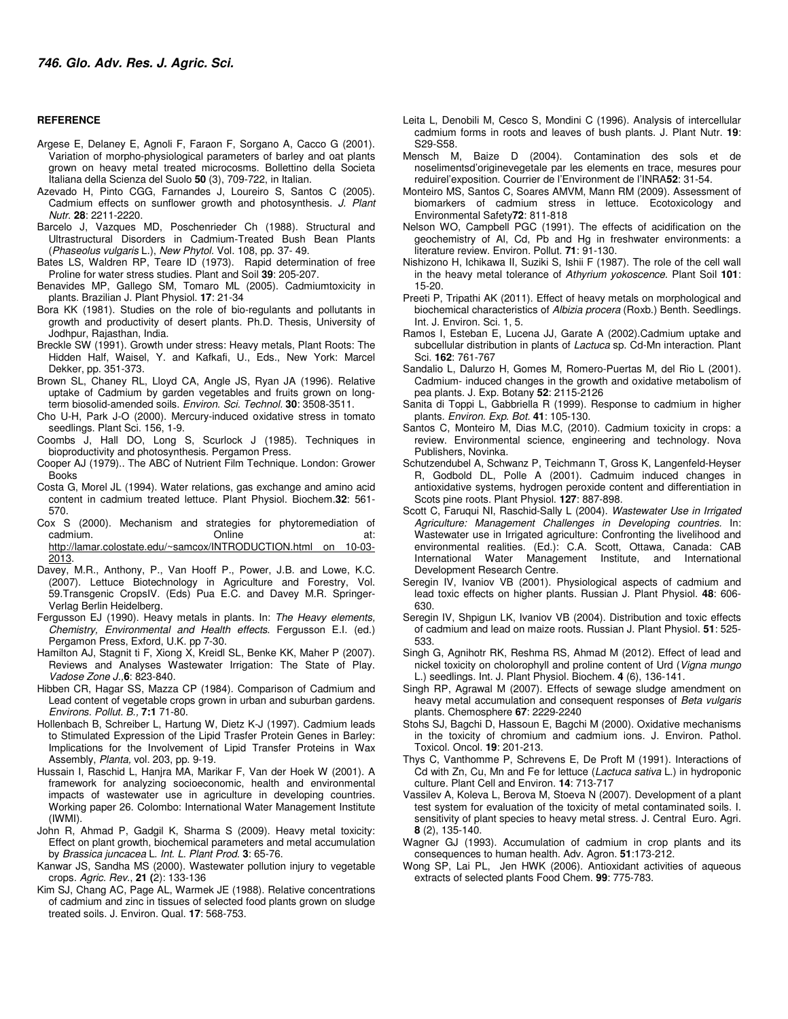#### **REFERENCE**

- Argese E, Delaney E, Agnoli F, Faraon F, Sorgano A, Cacco G (2001). Variation of morpho-physiological parameters of barley and oat plants grown on heavy metal treated microcosms. Bollettino della Societa Italiana della Scienza del Suolo **50** (3), 709-722, in Italian.
- Azevado H, Pinto CGG, Farnandes J, Loureiro S, Santos C (2005). Cadmium effects on sunflower growth and photosynthesis. *J. Plant Nutr*. **28**: 2211-2220.
- Barcelo J, Vazques MD, Poschenrieder Ch (1988). Structural and Ultrastructural Disorders in Cadmium-Treated Bush Bean Plants (*Phaseolus vulgaris* L.), *New Phytol.* Vol. 108, pp. 37- 49.
- Bates LS, Waldren RP, Teare ID (1973). Rapid determination of free Proline for water stress studies. Plant and Soil **39**: 205-207.
- Benavides MP, Gallego SM, Tomaro ML (2005). Cadmiumtoxicity in plants. Brazilian J. Plant Physiol. **17**: 21-34
- Bora KK (1981). Studies on the role of bio-regulants and pollutants in growth and productivity of desert plants. Ph.D. Thesis, University of Jodhpur, Rajasthan, India.
- Breckle SW (1991). Growth under stress: Heavy metals, Plant Roots: The Hidden Half, Waisel, Y. and Kafkafi, U., Eds., New York: Marcel Dekker, pp. 351-373.
- Brown SL, Chaney RL, Lloyd CA, Angle JS, Ryan JA (1996). Relative uptake of Cadmium by garden vegetables and fruits grown on longterm biosolid-amended soils. *Environ. Sci. Technol.* **30**: 3508-3511.
- Cho U-H, Park J-O (2000). Mercury-induced oxidative stress in tomato seedlings. Plant Sci. 156, 1-9.
- Coombs J, Hall DO, Long S, Scurlock J (1985). Techniques in bioproductivity and photosynthesis. Pergamon Press.
- Cooper AJ (1979).. The ABC of Nutrient Film Technique. London: Grower Books
- Costa G, Morel JL (1994). Water relations, gas exchange and amino acid content in cadmium treated lettuce. Plant Physiol. Biochem.**32**: 561- 570.
- Cox S (2000). Mechanism and strategies for phytoremediation of cadmium. **Cancer at:** Online at: **Cancer at:** 2016 http://lamar.colostate.edu/~samcox/INTRODUCTION.html on 10-03-2013.
- Davey, M.R., Anthony, P., Van Hooff P., Power, J.B. and Lowe, K.C. (2007). Lettuce Biotechnology in Agriculture and Forestry, Vol. 59.Transgenic CropsIV. (Eds) Pua E.C. and Davey M.R. Springer-Verlag Berlin Heidelberg.
- Fergusson EJ (1990). Heavy metals in plants. In: *The Heavy elements, Chemistry, Environmental and Health effects*. Fergusson E.I. (ed.) Pergamon Press, Exford, U.K. pp 7-30.
- Hamilton AJ, Stagnit ti F, Xiong X, Kreidl SL, Benke KK, Maher P (2007). Reviews and Analyses Wastewater Irrigation: The State of Play. *Vadose Zone J.,***6**: 823-840.
- Hibben CR, Hagar SS, Mazza CP (1984). Comparison of Cadmium and Lead content of vegetable crops grown in urban and suburban gardens. *Environs. Pollut. B.,* **7:1** 71-80.
- Hollenbach B, Schreiber L, Hartung W, Dietz K-J (1997). Cadmium leads to Stimulated Expression of the Lipid Trasfer Protein Genes in Barley: Implications for the Involvement of Lipid Transfer Proteins in Wax Assembly, *Planta,* vol. 203, pp. 9-19.
- Hussain I, Raschid L, Hanjra MA, Marikar F, Van der Hoek W (2001). A framework for analyzing socioeconomic, health and environmental impacts of wastewater use in agriculture in developing countries. Working paper 26. Colombo: International Water Management Institute (IWMI).
- John R, Ahmad P, Gadgil K, Sharma S (2009). Heavy metal toxicity: Effect on plant growth, biochemical parameters and metal accumulation by *Brassica juncacea* L. *Int. L. Plant Prod.* **3**: 65-76.
- Kanwar JS, Sandha MS (2000). Wastewater pollution injury to vegetable crops. *Agric. Rev*., **21 (**2): 133-136
- Kim SJ, Chang AC, Page AL, Warmek JE (1988). Relative concentrations of cadmium and zinc in tissues of selected food plants grown on sludge treated soils. J. Environ. Qual. **17**: 568-753.
- Leita L, Denobili M, Cesco S, Mondini C (1996). Analysis of intercellular cadmium forms in roots and leaves of bush plants. J. Plant Nutr. **19**: S29-S58.
- Mensch M, Baize D (2004). Contamination des sols et de noselimentsd'originevegetale par les elements en trace, mesures pour reduirel'exposition. Courrier de l'Environment de l'INRA**52**: 31-54.
- Monteiro MS, Santos C, Soares AMVM, Mann RM (2009). Assessment of biomarkers of cadmium stress in lettuce. Ecotoxicology and Environmental Safety**72**: 811-818
- Nelson WO, Campbell PGC (1991). The effects of acidification on the geochemistry of Al, Cd, Pb and Hg in freshwater environments: a literature review. Environ. Pollut. **71**: 91-130.
- Nishizono H, Ichikawa II, Suziki S, Ishii F (1987). The role of the cell wall in the heavy metal tolerance of *Athyrium yokoscence*. Plant Soil **101**: 15-20.
- Preeti P, Tripathi AK (2011). Effect of heavy metals on morphological and biochemical characteristics of *Albizia procera* (Roxb.) Benth. Seedlings. Int. J. Environ. Sci. 1, 5.
- Ramos I, Esteban E, Lucena JJ, Garate A (2002).Cadmium uptake and subcellular distribution in plants of *Lactuca* sp. Cd-Mn interaction. Plant Sci. **162**: 761-767
- Sandalio L, Dalurzo H, Gomes M, Romero-Puertas M, del Rio L (2001). Cadmium- induced changes in the growth and oxidative metabolism of pea plants. J. Exp. Botany **52**: 2115-2126
- Sanita di Toppi L, Gabbriella R (1999). Response to cadmium in higher plants. *Environ. Exp. Bot.* **41**: 105-130.
- Santos C, Monteiro M, Dias M.C, (2010). Cadmium toxicity in crops: a review. Environmental science, engineering and technology. Nova Publishers, Novinka.
- Schutzendubel A, Schwanz P, Teichmann T, Gross K, Langenfeld-Heyser R, Godbold DL, Polle A (2001). Cadmuim induced changes in antioxidative systems, hydrogen peroxide content and differentiation in Scots pine roots. Plant Physiol. **127**: 887-898.
- Scott C, Faruqui NI, Raschid-Sally L (2004). *Wastewater Use in Irrigated Agriculture: Management Challenges in Developing countries.* In: Wastewater use in Irrigated agriculture: Confronting the livelihood and environmental realities. (Ed.): C.A. Scott, Ottawa, Canada: CAB International Water Management Institute, and International Development Research Centre.
- Seregin IV, Ivaniov VB (2001). Physiological aspects of cadmium and lead toxic effects on higher plants. Russian J. Plant Physiol. **48**: 606- 630.
- Seregin IV, Shpigun LK, Ivaniov VB (2004). Distribution and toxic effects of cadmium and lead on maize roots. Russian J. Plant Physiol. **51**: 525- 533.
- Singh G, Agnihotr RK, Reshma RS, Ahmad M (2012). Effect of lead and nickel toxicity on cholorophyll and proline content of Urd (*Vigna mungo* L.) seedlings. Int. J. Plant Physiol. Biochem. **4** (6), 136-141.
- Singh RP, Agrawal M (2007). Effects of sewage sludge amendment on heavy metal accumulation and consequent responses of *Beta vulgaris*  plants. Chemosphere **67**: 2229-2240
- Stohs SJ, Bagchi D, Hassoun E, Bagchi M (2000). Oxidative mechanisms in the toxicity of chromium and cadmium ions. J. Environ. Pathol. Toxicol. Oncol. **19**: 201-213.
- Thys C, Vanthomme P, Schrevens E, De Proft M (1991). Interactions of Cd with Zn, Cu, Mn and Fe for lettuce (*Lactuca sativa* L.) in hydroponic culture. Plant Cell and Environ. **14**: 713-717
- Vassilev A, Koleva L, Berova M, Stoeva N (2007). Development of a plant test system for evaluation of the toxicity of metal contaminated soils. I. sensitivity of plant species to heavy metal stress. J. Central Euro. Agri. **8** (2), 135-140.
- Wagner GJ (1993). Accumulation of cadmium in crop plants and its consequences to human health. Adv. Agron. **51**:173-212.
- Wong SP, Lai PL, Jen HWK (2006). Antioxidant activities of aqueous extracts of selected plants Food Chem. **99**: 775-783.